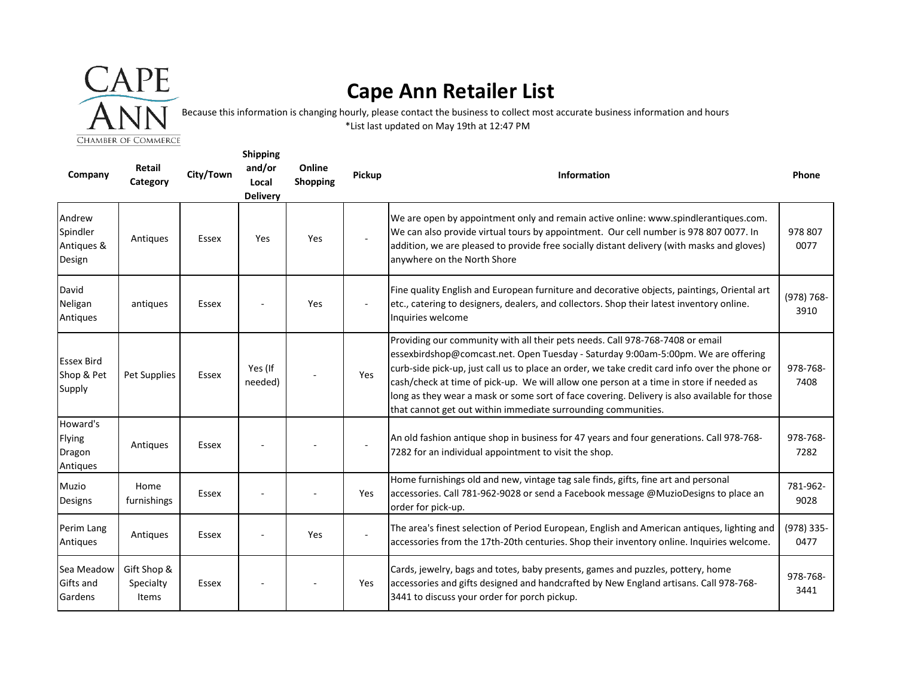

## **Cape Ann Retailer List**

Because this information is changing hourly, please contact the business to collect most accurate business information and hours \*List last updated on May 19th at 12:47 PM

| Company                                    | Retail<br>Category                       | City/Town    | <b>Shipping</b><br>and/or<br>Local<br><b>Delivery</b> | Online<br>Shopping | Pickup | <b>Information</b>                                                                                                                                                                                                                                                                                                                                                                                                                                                                                                              | Phone                 |
|--------------------------------------------|------------------------------------------|--------------|-------------------------------------------------------|--------------------|--------|---------------------------------------------------------------------------------------------------------------------------------------------------------------------------------------------------------------------------------------------------------------------------------------------------------------------------------------------------------------------------------------------------------------------------------------------------------------------------------------------------------------------------------|-----------------------|
| Andrew<br>Spindler<br>Antiques &<br>Design | Antiques                                 | <b>Essex</b> | Yes                                                   | Yes                |        | We are open by appointment only and remain active online: www.spindlerantiques.com.<br>We can also provide virtual tours by appointment. Our cell number is 978 807 0077. In<br>addition, we are pleased to provide free socially distant delivery (with masks and gloves)<br>anywhere on the North Shore                                                                                                                                                                                                                       | 978 807<br>0077       |
| David<br>Neligan<br>Antiques               | antiques                                 | Essex        |                                                       | Yes                |        | Fine quality English and European furniture and decorative objects, paintings, Oriental art<br>letc., catering to designers, dealers, and collectors. Shop their latest inventory online.<br>Inquiries welcome                                                                                                                                                                                                                                                                                                                  | $(978) 768 -$<br>3910 |
| <b>Essex Bird</b><br>Shop & Pet<br>Supply  | Pet Supplies                             | Essex        | Yes (If<br>needed)                                    |                    | Yes    | Providing our community with all their pets needs. Call 978-768-7408 or email<br>essexbirdshop@comcast.net. Open Tuesday - Saturday 9:00am-5:00pm. We are offering<br>curb-side pick-up, just call us to place an order, we take credit card info over the phone or<br>cash/check at time of pick-up. We will allow one person at a time in store if needed as<br>long as they wear a mask or some sort of face covering. Delivery is also available for those<br>that cannot get out within immediate surrounding communities. | 978-768-<br>7408      |
| Howard's<br>Flying<br>Dragon<br>Antiques   | Antiques                                 | Essex        |                                                       |                    |        | An old fashion antique shop in business for 47 years and four generations. Call 978-768-<br>7282 for an individual appointment to visit the shop.                                                                                                                                                                                                                                                                                                                                                                               | 978-768-<br>7282      |
| Muzio<br>Designs                           | Home<br>furnishings                      | Essex        |                                                       |                    | Yes    | Home furnishings old and new, vintage tag sale finds, gifts, fine art and personal<br>accessories. Call 781-962-9028 or send a Facebook message @MuzioDesigns to place an<br>order for pick-up.                                                                                                                                                                                                                                                                                                                                 | 781-962-<br>9028      |
| Perim Lang<br>Antiques                     | Antiques                                 | Essex        |                                                       | Yes                |        | The area's finest selection of Period European, English and American antiques, lighting and<br>accessories from the 17th-20th centuries. Shop their inventory online. Inquiries welcome.                                                                                                                                                                                                                                                                                                                                        | (978) 335-<br>0477    |
| Sea Meadow<br><b>Gifts and</b><br>Gardens  | Gift Shop &<br>Specialty<br><b>Items</b> | Essex        |                                                       |                    | Yes    | Cards, jewelry, bags and totes, baby presents, games and puzzles, pottery, home<br>accessories and gifts designed and handcrafted by New England artisans. Call 978-768-<br>3441 to discuss your order for porch pickup.                                                                                                                                                                                                                                                                                                        | 978-768-<br>3441      |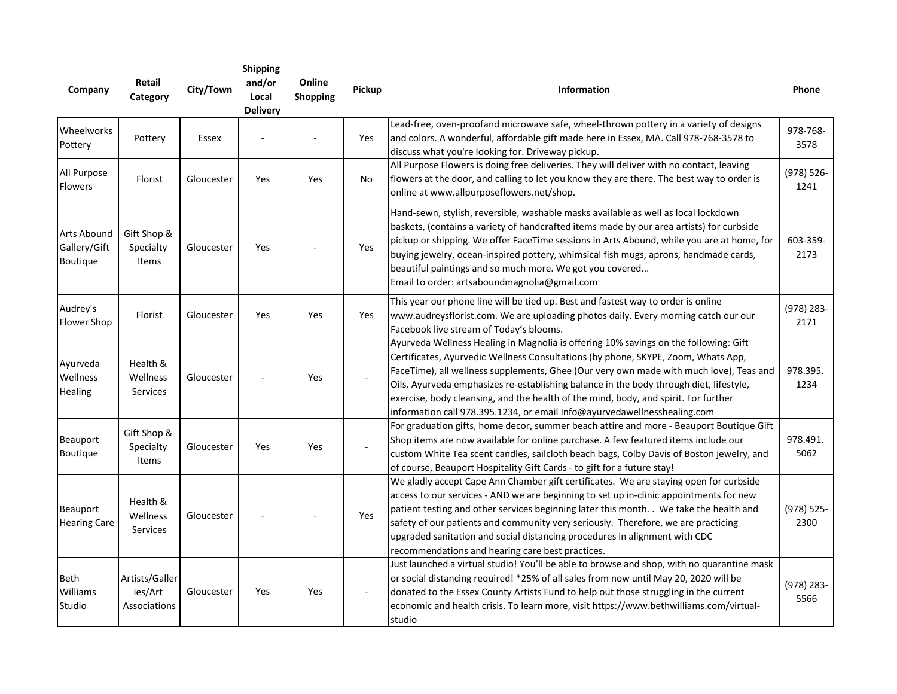| Company                                 | Retail<br>Category                        | City/Town  | <b>Shipping</b><br>and/or<br>Local<br><b>Delivery</b> | Online<br><b>Shopping</b> | Pickup | Information                                                                                                                                                                                                                                                                                                                                                                                                                                                                                                                      | Phone                 |
|-----------------------------------------|-------------------------------------------|------------|-------------------------------------------------------|---------------------------|--------|----------------------------------------------------------------------------------------------------------------------------------------------------------------------------------------------------------------------------------------------------------------------------------------------------------------------------------------------------------------------------------------------------------------------------------------------------------------------------------------------------------------------------------|-----------------------|
| Wheelworks<br>Pottery                   | Pottery                                   | Essex      |                                                       |                           | Yes    | Lead-free, oven-proofand microwave safe, wheel-thrown pottery in a variety of designs<br>and colors. A wonderful, affordable gift made here in Essex, MA. Call 978-768-3578 to<br>discuss what you're looking for. Driveway pickup.                                                                                                                                                                                                                                                                                              | 978-768-<br>3578      |
| All Purpose<br>Flowers                  | Florist                                   | Gloucester | Yes                                                   | Yes                       | No     | All Purpose Flowers is doing free deliveries. They will deliver with no contact, leaving<br>flowers at the door, and calling to let you know they are there. The best way to order is<br>online at www.allpurposeflowers.net/shop.                                                                                                                                                                                                                                                                                               | (978) 526-<br>1241    |
| Arts Abound<br>Gallery/Gift<br>Boutique | Gift Shop &<br>Specialty<br>Items         | Gloucester | Yes                                                   |                           | Yes    | Hand-sewn, stylish, reversible, washable masks available as well as local lockdown<br>baskets, (contains a variety of handcrafted items made by our area artists) for curbside<br>pickup or shipping. We offer FaceTime sessions in Arts Abound, while you are at home, for<br>buying jewelry, ocean-inspired pottery, whimsical fish mugs, aprons, handmade cards,<br>beautiful paintings and so much more. We got you covered<br>Email to order: artsaboundmagnolia@gmail.com                                                  | 603-359-<br>2173      |
| Audrey's<br>Flower Shop                 | Florist                                   | Gloucester | Yes                                                   | Yes                       | Yes    | This year our phone line will be tied up. Best and fastest way to order is online<br>www.audreysflorist.com. We are uploading photos daily. Every morning catch our our<br>Facebook live stream of Today's blooms.                                                                                                                                                                                                                                                                                                               | $(978)$ 283-<br>2171  |
| Ayurveda<br>Wellness<br><b>Healing</b>  | Health &<br>Wellness<br>Services          | Gloucester |                                                       | Yes                       |        | Ayurveda Wellness Healing in Magnolia is offering 10% savings on the following: Gift<br>Certificates, Ayurvedic Wellness Consultations (by phone, SKYPE, Zoom, Whats App,<br>FaceTime), all wellness supplements, Ghee (Our very own made with much love), Teas and<br>Oils. Ayurveda emphasizes re-establishing balance in the body through diet, lifestyle,<br>exercise, body cleansing, and the health of the mind, body, and spirit. For further<br>information call 978.395.1234, or email Info@ayurvedawellnesshealing.com | 978.395.<br>1234      |
| Beauport<br>Boutique                    | Gift Shop &<br>Specialty<br><b>Items</b>  | Gloucester | Yes                                                   | Yes                       |        | For graduation gifts, home decor, summer beach attire and more - Beauport Boutique Gift<br>Shop items are now available for online purchase. A few featured items include our<br>custom White Tea scent candles, sailcloth beach bags, Colby Davis of Boston jewelry, and<br>of course, Beauport Hospitality Gift Cards - to gift for a future stay!                                                                                                                                                                             | 978.491.<br>5062      |
| Beauport<br><b>Hearing Care</b>         | Health &<br>Wellness<br>Services          | Gloucester |                                                       |                           | Yes    | We gladly accept Cape Ann Chamber gift certificates. We are staying open for curbside<br>access to our services - AND we are beginning to set up in-clinic appointments for new<br>patient testing and other services beginning later this month. . We take the health and<br>safety of our patients and community very seriously. Therefore, we are practicing<br>upgraded sanitation and social distancing procedures in alignment with CDC<br>recommendations and hearing care best practices.                                | $(978) 525 -$<br>2300 |
| Beth<br>Williams<br>Studio              | Artists/Galler<br>ies/Art<br>Associations | Gloucester | Yes                                                   | Yes                       |        | Just launched a virtual studio! You'll be able to browse and shop, with no quarantine mask<br>or social distancing required! *25% of all sales from now until May 20, 2020 will be<br>donated to the Essex County Artists Fund to help out those struggling in the current<br>economic and health crisis. To learn more, visit https://www.bethwilliams.com/virtual-<br>studio                                                                                                                                                   | $(978)$ 283-<br>5566  |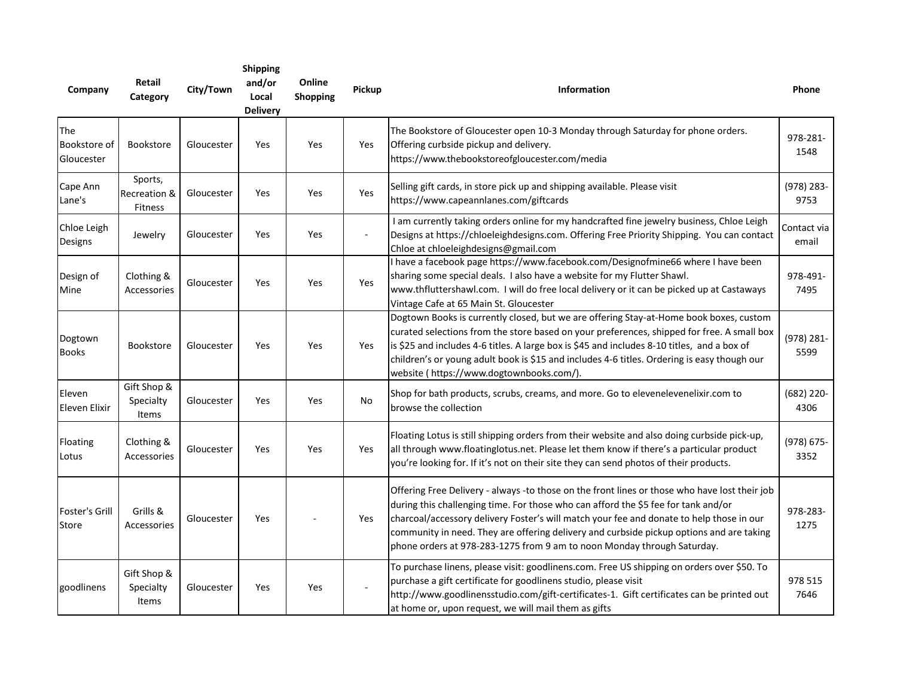| Company                           | Retail<br>Category                        | City/Town  | <b>Shipping</b><br>and/or<br>Local<br><b>Delivery</b> | Online<br><b>Shopping</b> | Pickup    | <b>Information</b>                                                                                                                                                                                                                                                                                                                                                                                                                                     | Phone                |
|-----------------------------------|-------------------------------------------|------------|-------------------------------------------------------|---------------------------|-----------|--------------------------------------------------------------------------------------------------------------------------------------------------------------------------------------------------------------------------------------------------------------------------------------------------------------------------------------------------------------------------------------------------------------------------------------------------------|----------------------|
| The<br>Bookstore of<br>Gloucester | <b>Bookstore</b>                          | Gloucester | Yes                                                   | Yes                       | Yes       | The Bookstore of Gloucester open 10-3 Monday through Saturday for phone orders.<br>Offering curbside pickup and delivery.<br>https://www.thebookstoreofgloucester.com/media                                                                                                                                                                                                                                                                            | 978-281-<br>1548     |
| Cape Ann<br>Lane's                | Sports,<br>Recreation &<br><b>Fitness</b> | Gloucester | Yes                                                   | Yes                       | Yes       | Selling gift cards, in store pick up and shipping available. Please visit<br>https://www.capeannlanes.com/giftcards                                                                                                                                                                                                                                                                                                                                    | $(978)$ 283-<br>9753 |
| Chloe Leigh<br>Designs            | Jewelry                                   | Gloucester | Yes                                                   | Yes                       |           | I am currently taking orders online for my handcrafted fine jewelry business, Chloe Leigh<br>Designs at https://chloeleighdesigns.com. Offering Free Priority Shipping. You can contact<br>Chloe at chloeleighdesigns@gmail.com                                                                                                                                                                                                                        | Contact via<br>email |
| Design of<br>Mine                 | Clothing &<br><b>Accessories</b>          | Gloucester | Yes                                                   | Yes                       | Yes       | I have a facebook page https://www.facebook.com/Designofmine66 where I have been<br>sharing some special deals. I also have a website for my Flutter Shawl.<br>www.thfluttershawl.com. I will do free local delivery or it can be picked up at Castaways<br>Vintage Cafe at 65 Main St. Gloucester                                                                                                                                                     | 978-491-<br>7495     |
| Dogtown<br><b>Books</b>           | Bookstore                                 | Gloucester | Yes                                                   | Yes                       | Yes       | Dogtown Books is currently closed, but we are offering Stay-at-Home book boxes, custom<br>curated selections from the store based on your preferences, shipped for free. A small box<br>is \$25 and includes 4-6 titles. A large box is \$45 and includes 8-10 titles, and a box of<br>children's or young adult book is \$15 and includes 4-6 titles. Ordering is easy though our<br>website ( https://www.dogtownbooks.com/).                        | $(978)$ 281-<br>5599 |
| Eleven<br>Eleven Elixir           | Gift Shop &<br>Specialty<br>Items         | Gloucester | Yes                                                   | Yes                       | <b>No</b> | Shop for bath products, scrubs, creams, and more. Go to elevenelevenelixir.com to<br>browse the collection                                                                                                                                                                                                                                                                                                                                             | $(682)$ 220-<br>4306 |
| Floating<br>Lotus                 | Clothing &<br>Accessories                 | Gloucester | Yes                                                   | Yes                       | Yes       | Floating Lotus is still shipping orders from their website and also doing curbside pick-up,<br>all through www.floatinglotus.net. Please let them know if there's a particular product<br>you're looking for. If it's not on their site they can send photos of their products.                                                                                                                                                                        | (978) 675-<br>3352   |
| Foster's Grill<br>Store           | Grills &<br>Accessories                   | Gloucester | Yes                                                   |                           | Yes       | Offering Free Delivery - always -to those on the front lines or those who have lost their job<br>during this challenging time. For those who can afford the \$5 fee for tank and/or<br>charcoal/accessory delivery Foster's will match your fee and donate to help those in our<br>community in need. They are offering delivery and curbside pickup options and are taking<br>phone orders at 978-283-1275 from 9 am to noon Monday through Saturday. | 978-283-<br>1275     |
| goodlinens                        | Gift Shop &<br>Specialty<br>Items         | Gloucester | Yes                                                   | Yes                       |           | To purchase linens, please visit: goodlinens.com. Free US shipping on orders over \$50. To<br>purchase a gift certificate for goodlinens studio, please visit<br>http://www.goodlinensstudio.com/gift-certificates-1. Gift certificates can be printed out<br>at home or, upon request, we will mail them as gifts                                                                                                                                     | 978 515<br>7646      |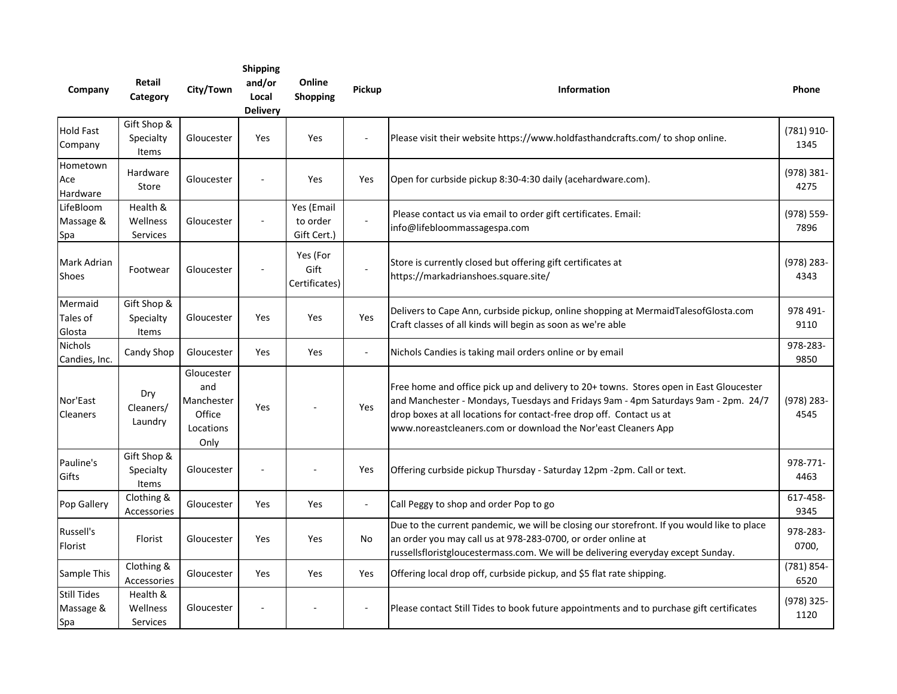| Company                                | Retail<br>Category                | City/Town                                                      | <b>Shipping</b><br>and/or<br>Local<br><b>Delivery</b> | Online<br>Shopping                    | Pickup         | <b>Information</b>                                                                                                                                                                                                                                                                                                    | Phone                 |
|----------------------------------------|-----------------------------------|----------------------------------------------------------------|-------------------------------------------------------|---------------------------------------|----------------|-----------------------------------------------------------------------------------------------------------------------------------------------------------------------------------------------------------------------------------------------------------------------------------------------------------------------|-----------------------|
| <b>Hold Fast</b><br>Company            | Gift Shop &<br>Specialty<br>Items | Gloucester                                                     | Yes                                                   | Yes                                   | $\blacksquare$ | Please visit their website https://www.holdfasthandcrafts.com/ to shop online.                                                                                                                                                                                                                                        | $(781)$ 910-<br>1345  |
| Hometown<br>Ace<br>Hardware            | Hardware<br>Store                 | Gloucester                                                     |                                                       | Yes                                   | Yes            | Open for curbside pickup 8:30-4:30 daily (acehardware.com).                                                                                                                                                                                                                                                           | (978) 381-<br>4275    |
| LifeBloom<br>Massage &<br>Spa          | Health &<br>Wellness<br>Services  | Gloucester                                                     | $\sim$                                                | Yes (Email<br>to order<br>Gift Cert.) | $\sim$         | Please contact us via email to order gift certificates. Email:<br>info@lifebloommassagespa.com                                                                                                                                                                                                                        | (978) 559-<br>7896    |
| Mark Adrian<br><b>Shoes</b>            | Footwear                          | Gloucester                                                     |                                                       | Yes (For<br>Gift<br>Certificates)     |                | Store is currently closed but offering gift certificates at<br>https://markadrianshoes.square.site/                                                                                                                                                                                                                   | $(978)$ 283-<br>4343  |
| Mermaid<br>Tales of<br>Glosta          | Gift Shop &<br>Specialty<br>Items | Gloucester                                                     | Yes                                                   | Yes                                   | Yes            | Delivers to Cape Ann, curbside pickup, online shopping at MermaidTalesofGlosta.com<br>Craft classes of all kinds will begin as soon as we're able                                                                                                                                                                     | 978 491-<br>9110      |
| <b>Nichols</b><br>Candies, Inc.        | Candy Shop                        | Gloucester                                                     | Yes                                                   | Yes                                   | $\sim$         | Nichols Candies is taking mail orders online or by email                                                                                                                                                                                                                                                              | 978-283-<br>9850      |
| Nor'East<br><b>Cleaners</b>            | Dry<br>Cleaners/<br>Laundry       | Gloucester<br>and<br>Manchester<br>Office<br>Locations<br>Only | Yes                                                   |                                       | Yes            | Free home and office pick up and delivery to 20+ towns. Stores open in East Gloucester<br>and Manchester - Mondays, Tuesdays and Fridays 9am - 4pm Saturdays 9am - 2pm. 24/7<br>drop boxes at all locations for contact-free drop off. Contact us at<br>www.noreastcleaners.com or download the Nor'east Cleaners App | $(978)$ 283-<br>4545  |
| Pauline's<br>Gifts                     | Gift Shop &<br>Specialty<br>Items | Gloucester                                                     | ÷,                                                    |                                       | Yes            | Offering curbside pickup Thursday - Saturday 12pm -2pm. Call or text.                                                                                                                                                                                                                                                 | 978-771-<br>4463      |
| Pop Gallery                            | Clothing &<br>Accessories         | Gloucester                                                     | Yes                                                   | Yes                                   | $\sim$         | Call Peggy to shop and order Pop to go                                                                                                                                                                                                                                                                                | 617-458-<br>9345      |
| Russell's<br>Florist                   | Florist                           | Gloucester                                                     | Yes                                                   | Yes                                   | No             | Due to the current pandemic, we will be closing our storefront. If you would like to place<br>an order you may call us at 978-283-0700, or order online at<br>russellsfloristgloucestermass.com. We will be delivering everyday except Sunday.                                                                        | 978-283-<br>0700,     |
| Sample This                            | Clothing &<br>Accessories         | Gloucester                                                     | Yes                                                   | Yes                                   | Yes            | Offering local drop off, curbside pickup, and \$5 flat rate shipping.                                                                                                                                                                                                                                                 | $(781) 854 -$<br>6520 |
| <b>Still Tides</b><br>Massage &<br>Spa | Health &<br>Wellness<br>Services  | Gloucester                                                     |                                                       |                                       | $\frac{1}{2}$  | Please contact Still Tides to book future appointments and to purchase gift certificates                                                                                                                                                                                                                              | (978) 325-<br>1120    |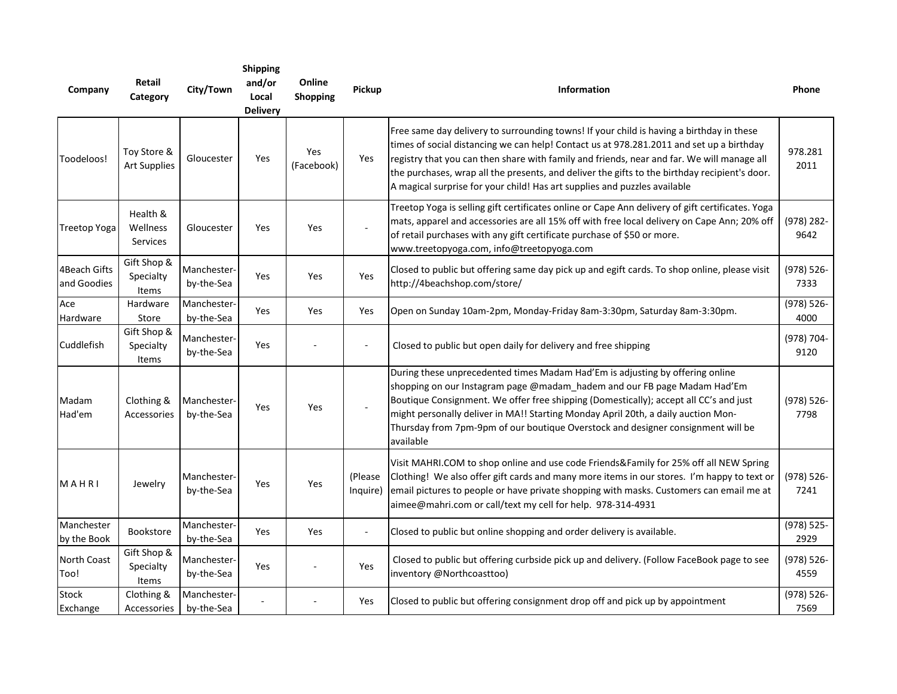| Company                     | Retail<br>Category                 | City/Town                 | <b>Shipping</b><br>and/or<br>Local<br><b>Delivery</b> | Online<br>Shopping | Pickup               | Information                                                                                                                                                                                                                                                                                                                                                                                                                                                      | Phone                 |
|-----------------------------|------------------------------------|---------------------------|-------------------------------------------------------|--------------------|----------------------|------------------------------------------------------------------------------------------------------------------------------------------------------------------------------------------------------------------------------------------------------------------------------------------------------------------------------------------------------------------------------------------------------------------------------------------------------------------|-----------------------|
| Toodeloos!                  | Toy Store &<br><b>Art Supplies</b> | Gloucester                | Yes                                                   | Yes<br>(Facebook)  | Yes                  | Free same day delivery to surrounding towns! If your child is having a birthday in these<br>times of social distancing we can help! Contact us at 978.281.2011 and set up a birthday<br>registry that you can then share with family and friends, near and far. We will manage all<br>the purchases, wrap all the presents, and deliver the gifts to the birthday recipient's door.<br>A magical surprise for your child! Has art supplies and puzzles available | 978.281<br>2011       |
| Treetop Yoga                | Health &<br>Wellness<br>Services   | Gloucester                | Yes                                                   | Yes                |                      | Treetop Yoga is selling gift certificates online or Cape Ann delivery of gift certificates. Yoga<br>mats, apparel and accessories are all 15% off with free local delivery on Cape Ann; 20% off<br>of retail purchases with any gift certificate purchase of \$50 or more.<br>www.treetopyoga.com, info@treetopyoga.com                                                                                                                                          | $(978)$ 282-<br>9642  |
| 4Beach Gifts<br>and Goodies | Gift Shop &<br>Specialty<br>Items  | Manchester-<br>by-the-Sea | Yes                                                   | Yes                | Yes                  | Closed to public but offering same day pick up and egift cards. To shop online, please visit<br>http://4beachshop.com/store/                                                                                                                                                                                                                                                                                                                                     | $(978) 526 -$<br>7333 |
| Ace<br>Hardware             | Hardware<br>Store                  | Manchester<br>by-the-Sea  | Yes                                                   | Yes                | Yes                  | Open on Sunday 10am-2pm, Monday-Friday 8am-3:30pm, Saturday 8am-3:30pm.                                                                                                                                                                                                                                                                                                                                                                                          | $(978) 526 -$<br>4000 |
| Cuddlefish                  | Gift Shop &<br>Specialty<br>Items  | Manchester-<br>by-the-Sea | Yes                                                   |                    |                      | Closed to public but open daily for delivery and free shipping                                                                                                                                                                                                                                                                                                                                                                                                   | (978) 704-<br>9120    |
| Madam<br>Had'em             | Clothing &<br>Accessories          | Manchester-<br>by-the-Sea | Yes                                                   | Yes                |                      | During these unprecedented times Madam Had'Em is adjusting by offering online<br>shopping on our Instagram page @madam_hadem and our FB page Madam Had'Em<br>Boutique Consignment. We offer free shipping (Domestically); accept all CC's and just<br>might personally deliver in MA!! Starting Monday April 20th, a daily auction Mon-<br>Thursday from 7pm-9pm of our boutique Overstock and designer consignment will be<br>available                         | $(978) 526 -$<br>7798 |
| MAHRI                       | Jewelry                            | Manchester-<br>by-the-Sea | Yes                                                   | Yes                | (Please)<br>Inquire) | Visit MAHRI.COM to shop online and use code Friends&Family for 25% off all NEW Spring<br>Clothing! We also offer gift cards and many more items in our stores. I'm happy to text or<br>email pictures to people or have private shopping with masks. Customers can email me at<br>aimee@mahri.com or call/text my cell for help. 978-314-4931                                                                                                                    | $(978) 526 -$<br>7241 |
| Manchester<br>by the Book   | Bookstore                          | Manchester-<br>by-the-Sea | Yes                                                   | Yes                |                      | Closed to public but online shopping and order delivery is available.                                                                                                                                                                                                                                                                                                                                                                                            | $(978) 525 -$<br>2929 |
| <b>North Coast</b><br>Too!  | Gift Shop &<br>Specialty<br>Items  | Manchester-<br>by-the-Sea | Yes                                                   |                    | Yes                  | Closed to public but offering curbside pick up and delivery. (Follow FaceBook page to see<br>inventory @Northcoasttoo)                                                                                                                                                                                                                                                                                                                                           | $(978) 526 -$<br>4559 |
| Stock<br>Exchange           | Clothing &<br>Accessories          | Manchester-<br>by-the-Sea |                                                       |                    | Yes                  | Closed to public but offering consignment drop off and pick up by appointment                                                                                                                                                                                                                                                                                                                                                                                    | (978) 526-<br>7569    |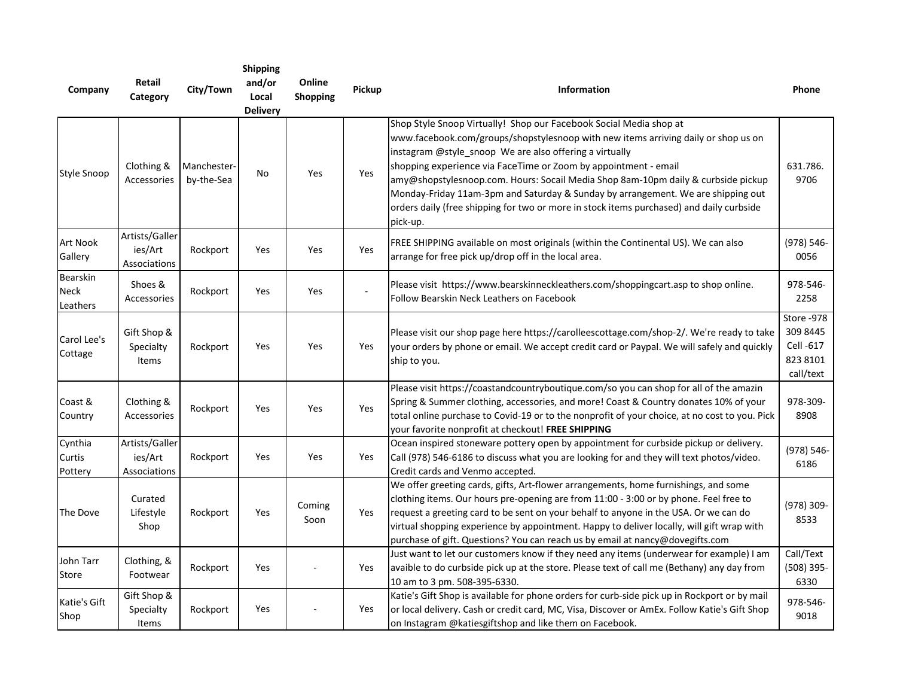| Company                      | Retail<br>Category                               | City/Town                 | <b>Shipping</b><br>and/or<br>Local<br><b>Delivery</b> | Online<br>Shopping | Pickup | <b>Information</b>                                                                                                                                                                                                                                                                                                                                                                                                                                                                                                                                                      | Phone                                                        |
|------------------------------|--------------------------------------------------|---------------------------|-------------------------------------------------------|--------------------|--------|-------------------------------------------------------------------------------------------------------------------------------------------------------------------------------------------------------------------------------------------------------------------------------------------------------------------------------------------------------------------------------------------------------------------------------------------------------------------------------------------------------------------------------------------------------------------------|--------------------------------------------------------------|
| <b>Style Snoop</b>           | Clothing &<br>Accessories                        | Manchester-<br>by-the-Sea | No                                                    | Yes                | Yes    | Shop Style Snoop Virtually! Shop our Facebook Social Media shop at<br>www.facebook.com/groups/shopstylesnoop with new items arriving daily or shop us on<br>instagram @style_snoop We are also offering a virtually<br>shopping experience via FaceTime or Zoom by appointment - email<br>amy@shopstylesnoop.com. Hours: Socail Media Shop 8am-10pm daily & curbside pickup<br>Monday-Friday 11am-3pm and Saturday & Sunday by arrangement. We are shipping out<br>orders daily (free shipping for two or more in stock items purchased) and daily curbside<br>pick-up. | 631.786.<br>9706                                             |
| Art Nook<br>Gallery          | Artists/Galler<br>ies/Art<br>Associations        | Rockport                  | Yes                                                   | Yes                | Yes    | FREE SHIPPING available on most originals (within the Continental US). We can also<br>arrange for free pick up/drop off in the local area.                                                                                                                                                                                                                                                                                                                                                                                                                              | (978) 546-<br>0056                                           |
| Bearskin<br>Neck<br>Leathers | Shoes &<br>Accessories                           | Rockport                  | Yes                                                   | Yes                |        | Please visit https://www.bearskinneckleathers.com/shoppingcart.asp to shop online.<br>Follow Bearskin Neck Leathers on Facebook                                                                                                                                                                                                                                                                                                                                                                                                                                         | 978-546-<br>2258                                             |
| Carol Lee's<br>Cottage       | Gift Shop &<br>Specialty<br><b>Items</b>         | Rockport                  | Yes                                                   | Yes                | Yes    | Please visit our shop page here https://carolleescottage.com/shop-2/. We're ready to take<br>your orders by phone or email. We accept credit card or Paypal. We will safely and quickly<br>ship to you.                                                                                                                                                                                                                                                                                                                                                                 | Store -978<br>309 8445<br>Cell -617<br>823 8101<br>call/text |
| Coast &<br>Country           | Clothing &<br>Accessories                        | Rockport                  | Yes                                                   | Yes                | Yes    | Please visit https://coastandcountryboutique.com/so you can shop for all of the amazin<br>Spring & Summer clothing, accessories, and more! Coast & Country donates 10% of your<br>total online purchase to Covid-19 or to the nonprofit of your choice, at no cost to you. Pick<br>your favorite nonprofit at checkout! FREE SHIPPING                                                                                                                                                                                                                                   | 978-309-<br>8908                                             |
| Cynthia<br>Curtis<br>Pottery | Artists/Galler<br>ies/Art<br><b>Associations</b> | Rockport                  | Yes                                                   | Yes                | Yes    | Ocean inspired stoneware pottery open by appointment for curbside pickup or delivery.<br>Call (978) 546-6186 to discuss what you are looking for and they will text photos/video.<br>Credit cards and Venmo accepted.                                                                                                                                                                                                                                                                                                                                                   | $(978) 546 -$<br>6186                                        |
| The Dove                     | Curated<br>Lifestyle<br>Shop                     | Rockport                  | Yes                                                   | Coming<br>Soon     | Yes    | We offer greeting cards, gifts, Art-flower arrangements, home furnishings, and some<br>clothing items. Our hours pre-opening are from 11:00 - 3:00 or by phone. Feel free to<br>request a greeting card to be sent on your behalf to anyone in the USA. Or we can do<br>virtual shopping experience by appointment. Happy to deliver locally, will gift wrap with<br>purchase of gift. Questions? You can reach us by email at nancy@dovegifts.com                                                                                                                      | (978) 309-<br>8533                                           |
| John Tarr<br>Store           | Clothing, &<br>Footwear                          | Rockport                  | Yes                                                   |                    | Yes    | Just want to let our customers know if they need any items (underwear for example) I am<br>avaible to do curbside pick up at the store. Please text of call me (Bethany) any day from<br>10 am to 3 pm. 508-395-6330.                                                                                                                                                                                                                                                                                                                                                   | Call/Text<br>$(508)$ 395-<br>6330                            |
| Katie's Gift<br>Shop         | Gift Shop &<br>Specialty<br>Items                | Rockport                  | Yes                                                   |                    | Yes    | Katie's Gift Shop is available for phone orders for curb-side pick up in Rockport or by mail<br>or local delivery. Cash or credit card, MC, Visa, Discover or AmEx. Follow Katie's Gift Shop<br>on Instagram @katiesgiftshop and like them on Facebook.                                                                                                                                                                                                                                                                                                                 | 978-546-<br>9018                                             |